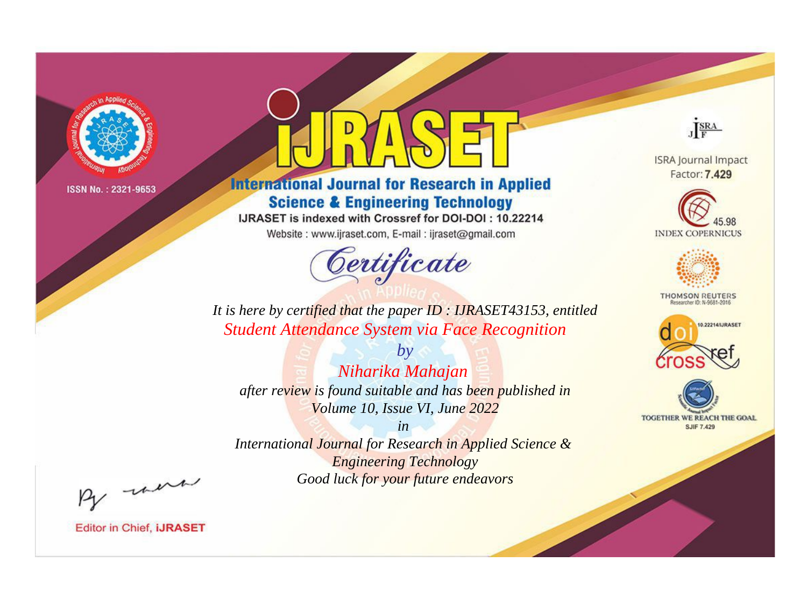

# **International Journal for Research in Applied Science & Engineering Technology**

IJRASET is indexed with Crossref for DOI-DOI: 10.22214

Website: www.ijraset.com, E-mail: ijraset@gmail.com



JERA

**ISRA Journal Impact** Factor: 7.429





**THOMSON REUTERS** 



TOGETHER WE REACH THE GOAL **SJIF 7.429** 

It is here by certified that the paper ID : IJRASET43153, entitled **Student Attendance System via Face Recognition** 

Niharika Mahajan after review is found suitable and has been published in Volume 10, Issue VI, June 2022

 $by$ 

 $in$ International Journal for Research in Applied Science & **Engineering Technology** Good luck for your future endeavors

By morn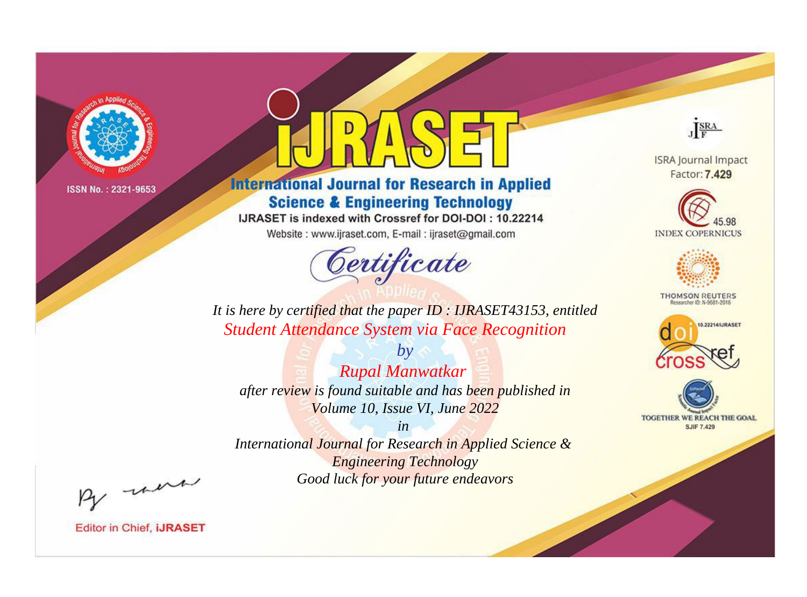

# **International Journal for Research in Applied Science & Engineering Technology**

IJRASET is indexed with Crossref for DOI-DOI: 10.22214

Website: www.ijraset.com, E-mail: ijraset@gmail.com



JERA

**ISRA Journal Impact** Factor: 7.429





**THOMSON REUTERS** 



TOGETHER WE REACH THE GOAL **SJIF 7.429** 

It is here by certified that the paper ID : IJRASET43153, entitled **Student Attendance System via Face Recognition** 

**Rupal Manwatkar** after review is found suitable and has been published in Volume 10, Issue VI, June 2022

 $by$ 

 $in$ International Journal for Research in Applied Science & **Engineering Technology** Good luck for your future endeavors

By morn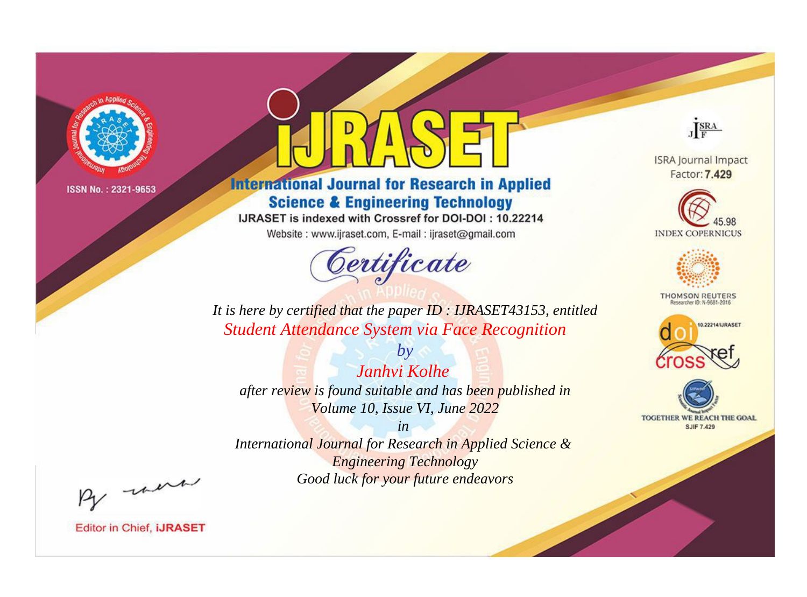

# **International Journal for Research in Applied Science & Engineering Technology**

IJRASET is indexed with Crossref for DOI-DOI: 10.22214

Website: www.ijraset.com, E-mail: ijraset@gmail.com



JERA

**ISRA Journal Impact** Factor: 7.429





**THOMSON REUTERS** 



TOGETHER WE REACH THE GOAL **SJIF 7.429** 

*It is here by certified that the paper ID : IJRASET43153, entitled Student Attendance System via Face Recognition*

*Janhvi Kolhe after review is found suitable and has been published in Volume 10, Issue VI, June 2022*

*by*

*in* 

*International Journal for Research in Applied Science & Engineering Technology Good luck for your future endeavors*

By morn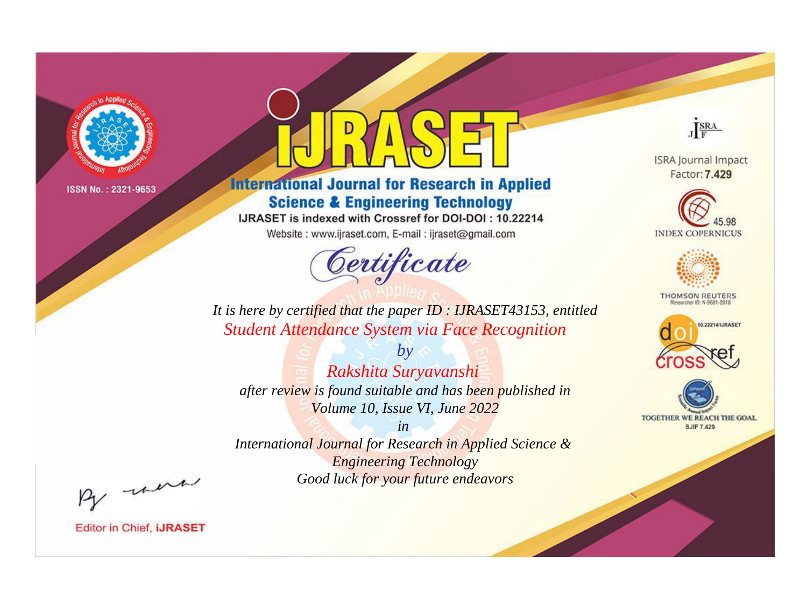

# **International Journal for Research in Applied Science & Engineering Technology**

IJRASET is indexed with Crossref for DOI-DOI: 10.22214

Website: www.ijraset.com, E-mail: ijraset@gmail.com



JERA

**ISRA Journal Impact** Factor: 7.429





**THOMSON REUTERS** 



TOGETHER WE REACH THE GOAL **SJIF 7.429** 

It is here by certified that the paper ID : IJRASET43153, entitled **Student Attendance System via Face Recognition** 

Rakshita Suryavanshi after review is found suitable and has been published in Volume 10, Issue VI, June 2022

 $in$ 

 $by$ 

International Journal for Research in Applied Science & **Engineering Technology** Good luck for your future endeavors

By morn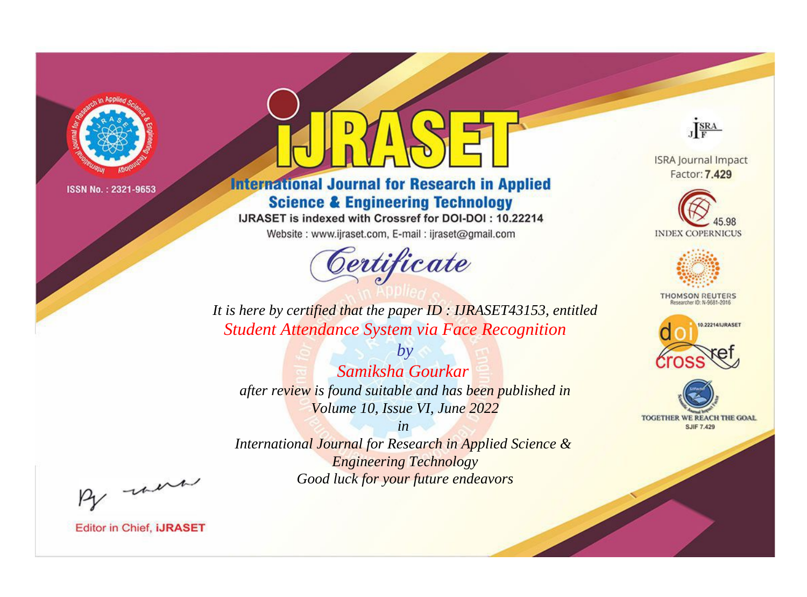

# **International Journal for Research in Applied Science & Engineering Technology**

IJRASET is indexed with Crossref for DOI-DOI: 10.22214

Website: www.ijraset.com, E-mail: ijraset@gmail.com



JERA

**ISRA Journal Impact** Factor: 7.429





**THOMSON REUTERS** 



TOGETHER WE REACH THE GOAL **SJIF 7.429** 

It is here by certified that the paper ID : IJRASET43153, entitled **Student Attendance System via Face Recognition** 

Samiksha Gourkar after review is found suitable and has been published in Volume 10, Issue VI, June 2022

 $b\nu$ 

 $in$ International Journal for Research in Applied Science & **Engineering Technology** Good luck for your future endeavors

By morn